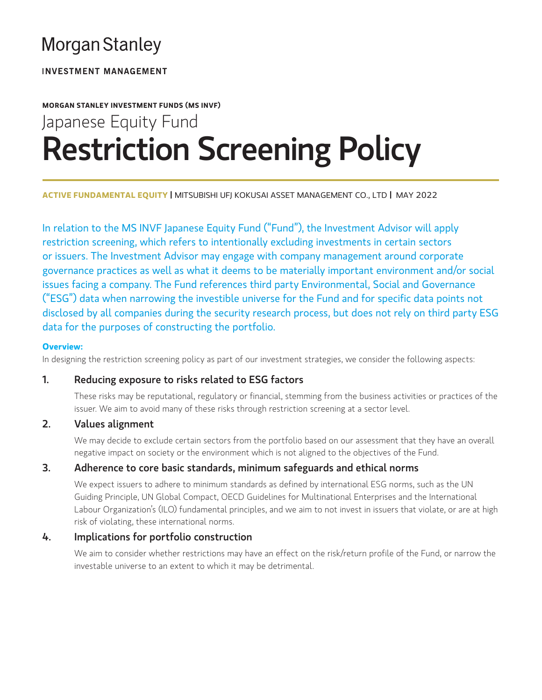# **Morgan Stanley**

**INVESTMENT MANAGEMENT** 

# **MORGAN STANLEY INVESTMENT FUNDS (MS INVF)** Japanese Equity Fund Restriction Screening Policy

**ACTIVE FUNDAMENTAL EQUITY |** MITSUBISHI UFJ KOKUSAI ASSET MANAGEMENT CO., LTD **|** MAY 2022

In relation to the MS INVF Japanese Equity Fund ("Fund"), the Investment Advisor will apply restriction screening, which refers to intentionally excluding investments in certain sectors or issuers. The Investment Advisor may engage with company management around corporate governance practices as well as what it deems to be materially important environment and/or social issues facing a company. The Fund references third party Environmental, Social and Governance ("ESG") data when narrowing the investible universe for the Fund and for specific data points not disclosed by all companies during the security research process, but does not rely on third party ESG data for the purposes of constructing the portfolio.

### **Overview:**

In designing the restriction screening policy as part of our investment strategies, we consider the following aspects:

# 1. Reducing exposure to risks related to ESG factors

These risks may be reputational, regulatory or financial, stemming from the business activities or practices of the issuer. We aim to avoid many of these risks through restriction screening at a sector level.

# 2. Values alignment

We may decide to exclude certain sectors from the portfolio based on our assessment that they have an overall negative impact on society or the environment which is not aligned to the objectives of the Fund.

# 3. Adherence to core basic standards, minimum safeguards and ethical norms

We expect issuers to adhere to minimum standards as defined by international ESG norms, such as the UN Guiding Principle, UN Global Compact, OECD Guidelines for Multinational Enterprises and the International Labour Organization's (ILO) fundamental principles, and we aim to not invest in issuers that violate, or are at high risk of violating, these international norms.

# 4. Implications for portfolio construction

We aim to consider whether restrictions may have an effect on the risk/return profile of the Fund, or narrow the investable universe to an extent to which it may be detrimental.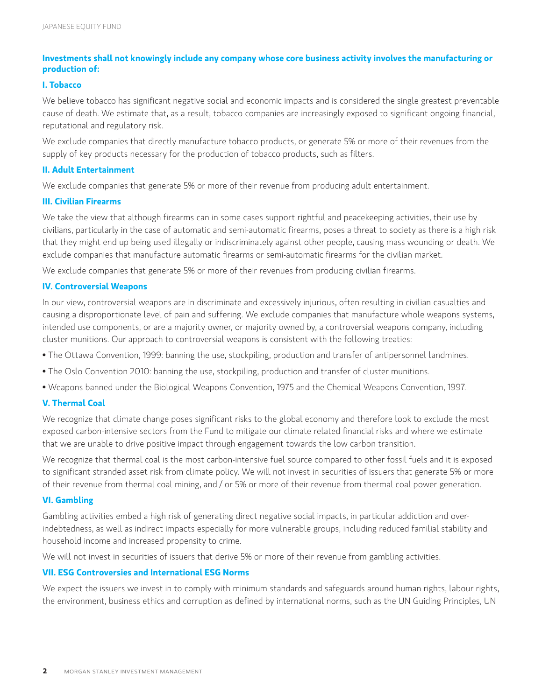## **Investments shall not knowingly include any company whose core business activity involves the manufacturing or production of:**

#### **I. Tobacco**

We believe tobacco has significant negative social and economic impacts and is considered the single greatest preventable cause of death. We estimate that, as a result, tobacco companies are increasingly exposed to significant ongoing financial, reputational and regulatory risk.

We exclude companies that directly manufacture tobacco products, or generate 5% or more of their revenues from the supply of key products necessary for the production of tobacco products, such as filters.

### **II. Adult Entertainment**

We exclude companies that generate 5% or more of their revenue from producing adult entertainment.

#### **III. Civilian Firearms**

We take the view that although firearms can in some cases support rightful and peacekeeping activities, their use by civilians, particularly in the case of automatic and semi-automatic firearms, poses a threat to society as there is a high risk that they might end up being used illegally or indiscriminately against other people, causing mass wounding or death. We exclude companies that manufacture automatic firearms or semi-automatic firearms for the civilian market.

We exclude companies that generate 5% or more of their revenues from producing civilian firearms.

#### **IV. Controversial Weapons**

In our view, controversial weapons are in discriminate and excessively injurious, often resulting in civilian casualties and causing a disproportionate level of pain and suffering. We exclude companies that manufacture whole weapons systems, intended use components, or are a majority owner, or majority owned by, a controversial weapons company, including cluster munitions. Our approach to controversial weapons is consistent with the following treaties:

- The Ottawa Convention, 1999: banning the use, stockpiling, production and transfer of antipersonnel landmines.
- The Oslo Convention 2010: banning the use, stockpiling, production and transfer of cluster munitions.
- Weapons banned under the Biological Weapons Convention, 1975 and the Chemical Weapons Convention, 1997.

#### **V. Thermal Coal**

We recognize that climate change poses significant risks to the global economy and therefore look to exclude the most exposed carbon-intensive sectors from the Fund to mitigate our climate related financial risks and where we estimate that we are unable to drive positive impact through engagement towards the low carbon transition.

We recognize that thermal coal is the most carbon-intensive fuel source compared to other fossil fuels and it is exposed to significant stranded asset risk from climate policy. We will not invest in securities of issuers that generate 5% or more of their revenue from thermal coal mining, and / or 5% or more of their revenue from thermal coal power generation.

#### **VI. Gambling**

Gambling activities embed a high risk of generating direct negative social impacts, in particular addiction and overindebtedness, as well as indirect impacts especially for more vulnerable groups, including reduced familial stability and household income and increased propensity to crime.

We will not invest in securities of issuers that derive 5% or more of their revenue from gambling activities.

#### **VII. ESG Controversies and International ESG Norms**

We expect the issuers we invest in to comply with minimum standards and safeguards around human rights, labour rights, the environment, business ethics and corruption as defined by international norms, such as the UN Guiding Principles, UN